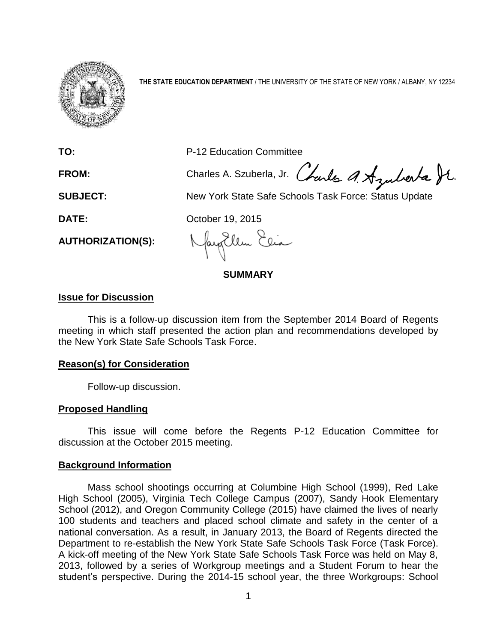

**THE STATE EDUCATION DEPARTMENT** / THE UNIVERSITY OF THE STATE OF NEW YORK / ALBANY, NY 12234

**TO:** P-12 Education Committee

FROM: Charles A. Szuberla, Jr. Charles A. Azuberta St.

**SUBJECT:** New York State Safe Schools Task Force: Status Update

**DATE:** October 19, 2015

**AUTHORIZATION(S):**

### **SUMMARY**

## **Issue for Discussion**

This is a follow-up discussion item from the September 2014 Board of Regents meeting in which staff presented the action plan and recommendations developed by the New York State Safe Schools Task Force.

# **Reason(s) for Consideration**

Follow-up discussion.

## **Proposed Handling**

This issue will come before the Regents P-12 Education Committee for discussion at the October 2015 meeting.

# **Background Information**

Mass school shootings occurring at Columbine High School (1999), Red Lake High School (2005), Virginia Tech College Campus (2007), Sandy Hook Elementary School (2012), and Oregon Community College (2015) have claimed the lives of nearly 100 students and teachers and placed school climate and safety in the center of a national conversation. As a result, in January 2013, the Board of Regents directed the Department to re-establish the New York State Safe Schools Task Force (Task Force). A kick-off meeting of the New York State Safe Schools Task Force was held on May 8, 2013, followed by a series of Workgroup meetings and a Student Forum to hear the student's perspective. During the 2014-15 school year, the three Workgroups: School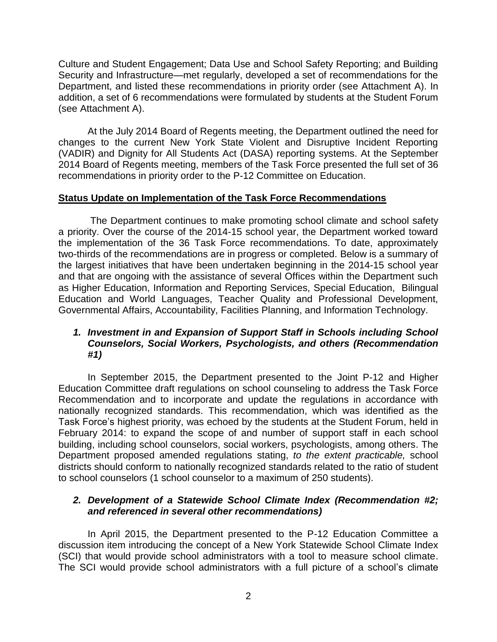Culture and Student Engagement; Data Use and School Safety Reporting; and Building Security and Infrastructure—met regularly, developed a set of recommendations for the Department, and listed these recommendations in priority order (see Attachment A). In addition, a set of 6 recommendations were formulated by students at the Student Forum (see Attachment A).

At the July 2014 Board of Regents meeting, the Department outlined the need for changes to the current New York State Violent and Disruptive Incident Reporting (VADIR) and Dignity for All Students Act (DASA) reporting systems. At the September 2014 Board of Regents meeting, members of the Task Force presented the full set of 36 recommendations in priority order to the P-12 Committee on Education.

# **Status Update on Implementation of the Task Force Recommendations**

The Department continues to make promoting school climate and school safety a priority. Over the course of the 2014-15 school year, the Department worked toward the implementation of the 36 Task Force recommendations. To date, approximately two-thirds of the recommendations are in progress or completed. Below is a summary of the largest initiatives that have been undertaken beginning in the 2014-15 school year and that are ongoing with the assistance of several Offices within the Department such as Higher Education, Information and Reporting Services, Special Education, Bilingual Education and World Languages, Teacher Quality and Professional Development, Governmental Affairs, Accountability, Facilities Planning, and Information Technology.

# *1. Investment in and Expansion of Support Staff in Schools including School Counselors, Social Workers, Psychologists, and others (Recommendation #1)*

In September 2015, the Department presented to the Joint P-12 and Higher Education Committee draft regulations on school counseling to address the Task Force Recommendation and to incorporate and update the regulations in accordance with nationally recognized standards. This recommendation, which was identified as the Task Force's highest priority, was echoed by the students at the Student Forum, held in February 2014: to expand the scope of and number of support staff in each school building, including school counselors, social workers, psychologists, among others. The Department proposed amended regulations stating, *to the extent practicable,* school districts should conform to nationally recognized standards related to the ratio of student to school counselors (1 school counselor to a maximum of 250 students).

# *2. Development of a Statewide School Climate Index (Recommendation #2; and referenced in several other recommendations)*

In April 2015, the Department presented to the P-12 Education Committee a discussion item introducing the concept of a New York Statewide School Climate Index (SCI) that would provide school administrators with a tool to measure school climate. The SCI would provide school administrators with a full picture of a school's climate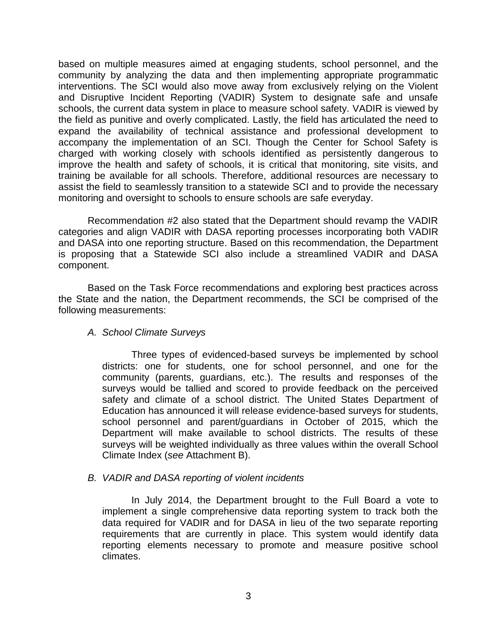based on multiple measures aimed at engaging students, school personnel, and the community by analyzing the data and then implementing appropriate programmatic interventions. The SCI would also move away from exclusively relying on the Violent and Disruptive Incident Reporting (VADIR) System to designate safe and unsafe schools, the current data system in place to measure school safety. VADIR is viewed by the field as punitive and overly complicated. Lastly, the field has articulated the need to expand the availability of technical assistance and professional development to accompany the implementation of an SCI. Though the Center for School Safety is charged with working closely with schools identified as persistently dangerous to improve the health and safety of schools, it is critical that monitoring, site visits, and training be available for all schools. Therefore, additional resources are necessary to assist the field to seamlessly transition to a statewide SCI and to provide the necessary monitoring and oversight to schools to ensure schools are safe everyday.

Recommendation #2 also stated that the Department should revamp the VADIR categories and align VADIR with DASA reporting processes incorporating both VADIR and DASA into one reporting structure. Based on this recommendation, the Department is proposing that a Statewide SCI also include a streamlined VADIR and DASA component.

Based on the Task Force recommendations and exploring best practices across the State and the nation, the Department recommends, the SCI be comprised of the following measurements:

*A. School Climate Surveys*

Three types of evidenced-based surveys be implemented by school districts: one for students, one for school personnel, and one for the community (parents, guardians, etc.). The results and responses of the surveys would be tallied and scored to provide feedback on the perceived safety and climate of a school district. The United States Department of Education has announced it will release evidence-based surveys for students, school personnel and parent/guardians in October of 2015, which the Department will make available to school districts. The results of these surveys will be weighted individually as three values within the overall School Climate Index (*see* Attachment B).

## *B. VADIR and DASA reporting of violent incidents*

In July 2014, the Department brought to the Full Board a vote to implement a single comprehensive data reporting system to track both the data required for VADIR and for DASA in lieu of the two separate reporting requirements that are currently in place. This system would identify data reporting elements necessary to promote and measure positive school climates.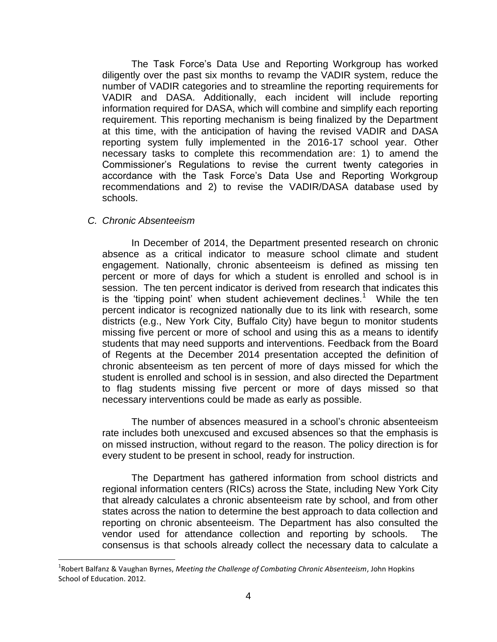The Task Force's Data Use and Reporting Workgroup has worked diligently over the past six months to revamp the VADIR system, reduce the number of VADIR categories and to streamline the reporting requirements for VADIR and DASA. Additionally, each incident will include reporting information required for DASA, which will combine and simplify each reporting requirement. This reporting mechanism is being finalized by the Department at this time, with the anticipation of having the revised VADIR and DASA reporting system fully implemented in the 2016-17 school year. Other necessary tasks to complete this recommendation are: 1) to amend the Commissioner's Regulations to revise the current twenty categories in accordance with the Task Force's Data Use and Reporting Workgroup recommendations and 2) to revise the VADIR/DASA database used by schools.

## *C. Chronic Absenteeism*

l

In December of 2014, the Department presented research on chronic absence as a critical indicator to measure school climate and student engagement. Nationally, chronic absenteeism is defined as missing ten percent or more of days for which a student is enrolled and school is in session. The ten percent indicator is derived from research that indicates this is the 'tipping point' when student achievement declines.<sup>1</sup> While the ten percent indicator is recognized nationally due to its link with research, some districts (e.g., New York City, Buffalo City) have begun to monitor students missing five percent or more of school and using this as a means to identify students that may need supports and interventions. Feedback from the Board of Regents at the December 2014 presentation accepted the definition of chronic absenteeism as ten percent of more of days missed for which the student is enrolled and school is in session, and also directed the Department to flag students missing five percent or more of days missed so that necessary interventions could be made as early as possible.

The number of absences measured in a school's chronic absenteeism rate includes both unexcused and excused absences so that the emphasis is on missed instruction, without regard to the reason. The policy direction is for every student to be present in school, ready for instruction.

The Department has gathered information from school districts and regional information centers (RICs) across the State, including New York City that already calculates a chronic absenteeism rate by school, and from other states across the nation to determine the best approach to data collection and reporting on chronic absenteeism. The Department has also consulted the vendor used for attendance collection and reporting by schools. The consensus is that schools already collect the necessary data to calculate a

<sup>1</sup> Robert Balfanz & Vaughan Byrnes, *Meeting the Challenge of Combating Chronic Absenteeism*, John Hopkins School of Education. 2012.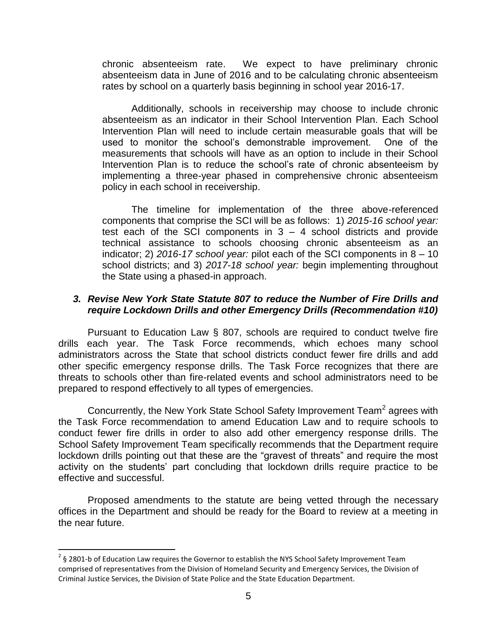chronic absenteeism rate. We expect to have preliminary chronic absenteeism data in June of 2016 and to be calculating chronic absenteeism rates by school on a quarterly basis beginning in school year 2016-17.

Additionally, schools in receivership may choose to include chronic absenteeism as an indicator in their School Intervention Plan. Each School Intervention Plan will need to include certain measurable goals that will be used to monitor the school's demonstrable improvement. One of the measurements that schools will have as an option to include in their School Intervention Plan is to reduce the school's rate of chronic absenteeism by implementing a three-year phased in comprehensive chronic absenteeism policy in each school in receivership.

The timeline for implementation of the three above-referenced components that comprise the SCI will be as follows: 1) *2015-16 school year:* test each of the SCI components in  $3 - 4$  school districts and provide technical assistance to schools choosing chronic absenteeism as an indicator; 2) *2016-17 school year:* pilot each of the SCI components in 8 – 10 school districts; and 3) *2017-18 school year:* begin implementing throughout the State using a phased-in approach.

# *3. Revise New York State Statute 807 to reduce the Number of Fire Drills and require Lockdown Drills and other Emergency Drills (Recommendation #10)*

Pursuant to Education Law § 807, schools are required to conduct twelve fire drills each year. The Task Force recommends, which echoes many school administrators across the State that school districts conduct fewer fire drills and add other specific emergency response drills. The Task Force recognizes that there are threats to schools other than fire-related events and school administrators need to be prepared to respond effectively to all types of emergencies.

Concurrently, the New York State School Safety Improvement Team<sup>2</sup> agrees with the Task Force recommendation to amend Education Law and to require schools to conduct fewer fire drills in order to also add other emergency response drills. The School Safety Improvement Team specifically recommends that the Department require lockdown drills pointing out that these are the "gravest of threats" and require the most activity on the students' part concluding that lockdown drills require practice to be effective and successful.

Proposed amendments to the statute are being vetted through the necessary offices in the Department and should be ready for the Board to review at a meeting in the near future.

 $\overline{\phantom{a}}$ 

 $2$  § 2801-b of Education Law requires the Governor to establish the NYS School Safety Improvement Team comprised of representatives from the Division of Homeland Security and Emergency Services, the Division of Criminal Justice Services, the Division of State Police and the State Education Department.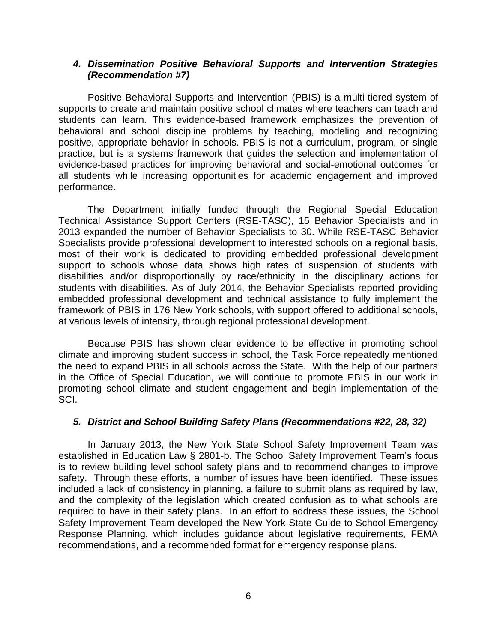## *4. Dissemination Positive Behavioral Supports and Intervention Strategies (Recommendation #7)*

Positive Behavioral Supports and Intervention (PBIS) is a multi-tiered system of supports to create and maintain positive school climates where teachers can teach and students can learn. This evidence-based framework emphasizes the prevention of behavioral and school discipline problems by teaching, modeling and recognizing positive, appropriate behavior in schools. PBIS is not a curriculum, program, or single practice, but is a systems framework that guides the selection and implementation of evidence-based practices for improving behavioral and social-emotional outcomes for all students while increasing opportunities for academic engagement and improved performance.

The Department initially funded through the Regional Special Education Technical Assistance Support Centers (RSE-TASC), 15 Behavior Specialists and in 2013 expanded the number of Behavior Specialists to 30. While RSE-TASC Behavior Specialists provide professional development to interested schools on a regional basis, most of their work is dedicated to providing embedded professional development support to schools whose data shows high rates of suspension of students with disabilities and/or disproportionally by race/ethnicity in the disciplinary actions for students with disabilities. As of July 2014, the Behavior Specialists reported providing embedded professional development and technical assistance to fully implement the framework of PBIS in 176 New York schools, with support offered to additional schools, at various levels of intensity, through regional professional development.

Because PBIS has shown clear evidence to be effective in promoting school climate and improving student success in school, the Task Force repeatedly mentioned the need to expand PBIS in all schools across the State. With the help of our partners in the Office of Special Education, we will continue to promote PBIS in our work in promoting school climate and student engagement and begin implementation of the SCI.

# *5. District and School Building Safety Plans (Recommendations #22, 28, 32)*

In January 2013, the New York State School Safety Improvement Team was established in Education Law § 2801-b. The School Safety Improvement Team's focus is to review building level school safety plans and to recommend changes to improve safety. Through these efforts, a number of issues have been identified. These issues included a lack of consistency in planning, a failure to submit plans as required by law, and the complexity of the legislation which created confusion as to what schools are required to have in their safety plans. In an effort to address these issues, the School Safety Improvement Team developed the New York State Guide to School Emergency Response Planning, which includes guidance about legislative requirements, FEMA recommendations, and a recommended format for emergency response plans.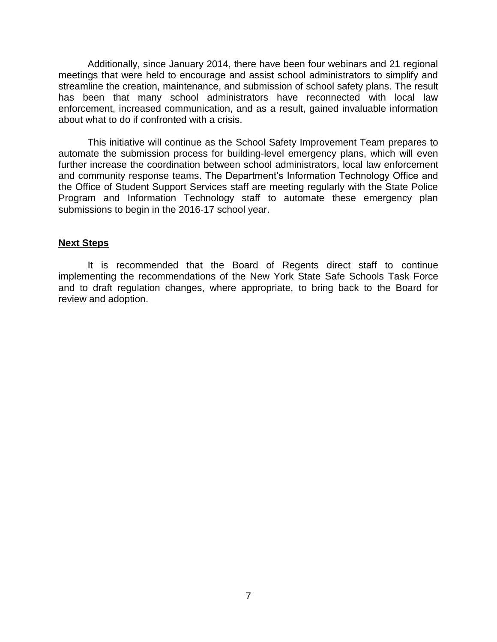Additionally, since January 2014, there have been four webinars and 21 regional meetings that were held to encourage and assist school administrators to simplify and streamline the creation, maintenance, and submission of school safety plans. The result has been that many school administrators have reconnected with local law enforcement, increased communication, and as a result, gained invaluable information about what to do if confronted with a crisis.

This initiative will continue as the School Safety Improvement Team prepares to automate the submission process for building-level emergency plans, which will even further increase the coordination between school administrators, local law enforcement and community response teams. The Department's Information Technology Office and the Office of Student Support Services staff are meeting regularly with the State Police Program and Information Technology staff to automate these emergency plan submissions to begin in the 2016-17 school year.

### **Next Steps**

It is recommended that the Board of Regents direct staff to continue implementing the recommendations of the New York State Safe Schools Task Force and to draft regulation changes, where appropriate, to bring back to the Board for review and adoption.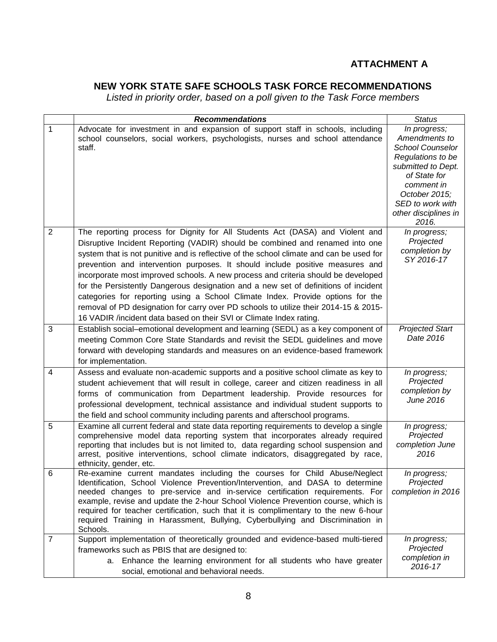# **ATTACHMENT A**

# **NEW YORK STATE SAFE SCHOOLS TASK FORCE RECOMMENDATIONS**

*Listed in priority order, based on a poll given to the Task Force members* 

|                | <b>Recommendations</b>                                                                                                                                                                                                                                                                                                                                                                                                                                                                                                                                                                                                                                                                                                                                                  | <b>Status</b>                                                                                                                                                                                           |
|----------------|-------------------------------------------------------------------------------------------------------------------------------------------------------------------------------------------------------------------------------------------------------------------------------------------------------------------------------------------------------------------------------------------------------------------------------------------------------------------------------------------------------------------------------------------------------------------------------------------------------------------------------------------------------------------------------------------------------------------------------------------------------------------------|---------------------------------------------------------------------------------------------------------------------------------------------------------------------------------------------------------|
| $\mathbf{1}$   | Advocate for investment in and expansion of support staff in schools, including<br>school counselors, social workers, psychologists, nurses and school attendance<br>staff.                                                                                                                                                                                                                                                                                                                                                                                                                                                                                                                                                                                             | In progress;<br>Amendments to<br><b>School Counselor</b><br>Regulations to be<br>submitted to Dept.<br>of State for<br>comment in<br>October 2015;<br>SED to work with<br>other disciplines in<br>2016. |
| $\overline{2}$ | The reporting process for Dignity for All Students Act (DASA) and Violent and<br>Disruptive Incident Reporting (VADIR) should be combined and renamed into one<br>system that is not punitive and is reflective of the school climate and can be used for<br>prevention and intervention purposes. It should include positive measures and<br>incorporate most improved schools. A new process and criteria should be developed<br>for the Persistently Dangerous designation and a new set of definitions of incident<br>categories for reporting using a School Climate Index. Provide options for the<br>removal of PD designation for carry over PD schools to utilize their 2014-15 & 2015-<br>16 VADIR /incident data based on their SVI or Climate Index rating. | In progress;<br>Projected<br>completion by<br>SY 2016-17                                                                                                                                                |
| 3              | Establish social–emotional development and learning (SEDL) as a key component of<br>meeting Common Core State Standards and revisit the SEDL guidelines and move<br>forward with developing standards and measures on an evidence-based framework<br>for implementation.                                                                                                                                                                                                                                                                                                                                                                                                                                                                                                | <b>Projected Start</b><br>Date 2016                                                                                                                                                                     |
| 4              | Assess and evaluate non-academic supports and a positive school climate as key to<br>student achievement that will result in college, career and citizen readiness in all<br>forms of communication from Department leadership. Provide resources for<br>professional development, technical assistance and individual student supports to<br>the field and school community including parents and afterschool programs.                                                                                                                                                                                                                                                                                                                                                | In progress;<br>Projected<br>completion by<br>June 2016                                                                                                                                                 |
| 5              | Examine all current federal and state data reporting requirements to develop a single<br>comprehensive model data reporting system that incorporates already required<br>reporting that includes but is not limited to, data regarding school suspension and<br>arrest, positive interventions, school climate indicators, disaggregated by race,<br>ethnicity, gender, etc.                                                                                                                                                                                                                                                                                                                                                                                            | In progress;<br>Projected<br>completion June<br>2016                                                                                                                                                    |
| 6              | Re-examine current mandates including the courses for Child Abuse/Neglect<br>Identification, School Violence Prevention/Intervention, and DASA to determine<br>needed changes to pre-service and in-service certification requirements. For<br>example, revise and update the 2-hour School Violence Prevention course, which is<br>required for teacher certification, such that it is complimentary to the new 6-hour<br>required Training in Harassment, Bullying, Cyberbullying and Discrimination in<br>Schools.                                                                                                                                                                                                                                                   | In progress;<br>Projected<br>completion in 2016                                                                                                                                                         |
| $\overline{7}$ | Support implementation of theoretically grounded and evidence-based multi-tiered<br>frameworks such as PBIS that are designed to:<br>Enhance the learning environment for all students who have greater<br>а.<br>social, emotional and behavioral needs.                                                                                                                                                                                                                                                                                                                                                                                                                                                                                                                | In progress;<br>Projected<br>completion in<br>2016-17                                                                                                                                                   |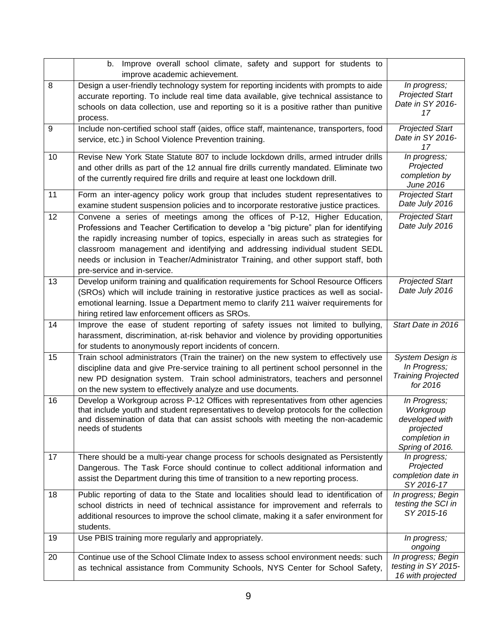|    | b. Improve overall school climate, safety and support for students to<br>improve academic achievement.                                                                                                                                                                                                                                                                                                                                                         |                                                                                              |
|----|----------------------------------------------------------------------------------------------------------------------------------------------------------------------------------------------------------------------------------------------------------------------------------------------------------------------------------------------------------------------------------------------------------------------------------------------------------------|----------------------------------------------------------------------------------------------|
| 8  | Design a user-friendly technology system for reporting incidents with prompts to aide<br>accurate reporting. To include real time data available, give technical assistance to<br>schools on data collection, use and reporting so it is a positive rather than punitive                                                                                                                                                                                       | In progress;<br><b>Projected Start</b><br>Date in SY 2016-<br>17                             |
| 9  | process.<br>Include non-certified school staff (aides, office staff, maintenance, transporters, food<br>service, etc.) in School Violence Prevention training.                                                                                                                                                                                                                                                                                                 | <b>Projected Start</b><br>Date in SY 2016-<br>17                                             |
| 10 | Revise New York State Statute 807 to include lockdown drills, armed intruder drills<br>and other drills as part of the 12 annual fire drills currently mandated. Eliminate two<br>of the currently required fire drills and require at least one lockdown drill.                                                                                                                                                                                               | In progress;<br>Projected<br>completion by<br>June 2016                                      |
| 11 | Form an inter-agency policy work group that includes student representatives to<br>examine student suspension policies and to incorporate restorative justice practices.                                                                                                                                                                                                                                                                                       | <b>Projected Start</b><br>Date July 2016                                                     |
| 12 | Convene a series of meetings among the offices of P-12, Higher Education,<br>Professions and Teacher Certification to develop a "big picture" plan for identifying<br>the rapidly increasing number of topics, especially in areas such as strategies for<br>classroom management and identifying and addressing individual student SEDL<br>needs or inclusion in Teacher/Administrator Training, and other support staff, both<br>pre-service and in-service. | <b>Projected Start</b><br>Date July 2016                                                     |
| 13 | Develop uniform training and qualification requirements for School Resource Officers<br>(SROs) which will include training in restorative justice practices as well as social-<br>emotional learning. Issue a Department memo to clarify 211 waiver requirements for<br>hiring retired law enforcement officers as SROs.                                                                                                                                       | <b>Projected Start</b><br>Date July 2016                                                     |
| 14 | Improve the ease of student reporting of safety issues not limited to bullying,<br>harassment, discrimination, at-risk behavior and violence by providing opportunities<br>for students to anonymously report incidents of concern.                                                                                                                                                                                                                            | Start Date in 2016                                                                           |
| 15 | Train school administrators (Train the trainer) on the new system to effectively use<br>discipline data and give Pre-service training to all pertinent school personnel in the<br>new PD designation system. Train school administrators, teachers and personnel<br>on the new system to effectively analyze and use documents.                                                                                                                                | System Design is<br>In Progress;<br><b>Training Projected</b><br>for 2016                    |
| 16 | Develop a Workgroup across P-12 Offices with representatives from other agencies<br>that include youth and student representatives to develop protocols for the collection<br>and dissemination of data that can assist schools with meeting the non-academic<br>needs of students                                                                                                                                                                             | In Progress;<br>Workgroup<br>developed with<br>projected<br>completion in<br>Spring of 2016. |
| 17 | There should be a multi-year change process for schools designated as Persistently<br>Dangerous. The Task Force should continue to collect additional information and<br>assist the Department during this time of transition to a new reporting process.                                                                                                                                                                                                      | In progress;<br>Projected<br>completion date in<br>SY 2016-17                                |
| 18 | Public reporting of data to the State and localities should lead to identification of<br>school districts in need of technical assistance for improvement and referrals to<br>additional resources to improve the school climate, making it a safer environment for<br>students.                                                                                                                                                                               | In progress; Begin<br>testing the SCI in<br>SY 2015-16                                       |
| 19 | Use PBIS training more regularly and appropriately.                                                                                                                                                                                                                                                                                                                                                                                                            | In progress;<br>ongoing                                                                      |
| 20 | Continue use of the School Climate Index to assess school environment needs: such<br>as technical assistance from Community Schools, NYS Center for School Safety,                                                                                                                                                                                                                                                                                             | In progress; Begin<br>testing in SY 2015-<br>16 with projected                               |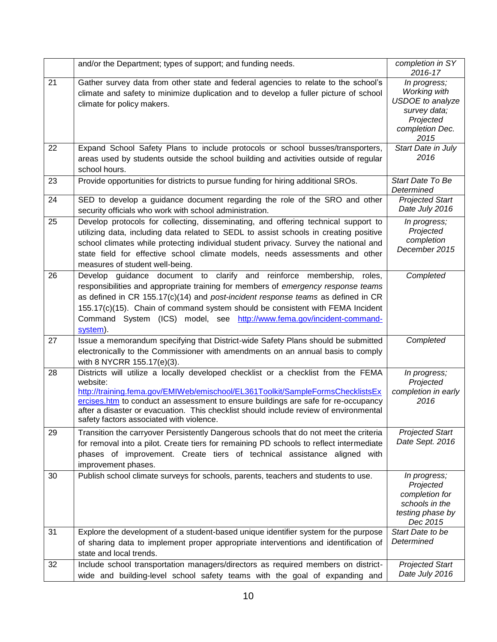|    | and/or the Department; types of support; and funding needs.                                                                                                                                                                                                                                                                                                                                                              | completion in SY<br>2016-17                                                                                            |
|----|--------------------------------------------------------------------------------------------------------------------------------------------------------------------------------------------------------------------------------------------------------------------------------------------------------------------------------------------------------------------------------------------------------------------------|------------------------------------------------------------------------------------------------------------------------|
| 21 | Gather survey data from other state and federal agencies to relate to the school's<br>climate and safety to minimize duplication and to develop a fuller picture of school<br>climate for policy makers.                                                                                                                                                                                                                 | In progress;<br><b>Working with</b><br><b>USDOE</b> to analyze<br>survey data;<br>Projected<br>completion Dec.<br>2015 |
| 22 | Expand School Safety Plans to include protocols or school busses/transporters,<br>areas used by students outside the school building and activities outside of regular<br>school hours.                                                                                                                                                                                                                                  | Start Date in July<br>2016                                                                                             |
| 23 | Provide opportunities for districts to pursue funding for hiring additional SROs.                                                                                                                                                                                                                                                                                                                                        | Start Date To Be<br>Determined                                                                                         |
| 24 | SED to develop a guidance document regarding the role of the SRO and other<br>security officials who work with school administration.                                                                                                                                                                                                                                                                                    | <b>Projected Start</b><br>Date July 2016                                                                               |
| 25 | Develop protocols for collecting, disseminating, and offering technical support to<br>utilizing data, including data related to SEDL to assist schools in creating positive<br>school climates while protecting individual student privacy. Survey the national and<br>state field for effective school climate models, needs assessments and other<br>measures of student well-being.                                   | In progress;<br>Projected<br>completion<br>December 2015                                                               |
| 26 | Develop guidance document to clarify and reinforce membership,<br>roles,<br>responsibilities and appropriate training for members of emergency response teams<br>as defined in CR 155.17(c)(14) and post-incident response teams as defined in CR<br>155.17(c)(15). Chain of command system should be consistent with FEMA Incident<br>Command System (ICS) model, see http://www.fema.gov/incident-command-<br>system). | Completed                                                                                                              |
| 27 | Issue a memorandum specifying that District-wide Safety Plans should be submitted<br>electronically to the Commissioner with amendments on an annual basis to comply<br>with 8 NYCRR 155.17(e)(3).                                                                                                                                                                                                                       | Completed                                                                                                              |
| 28 | Districts will utilize a locally developed checklist or a checklist from the FEMA<br>website:<br>http://training.fema.gov/EMIWeb/emischool/EL361Toolkit/SampleFormsChecklistsEx<br>ercises.htm to conduct an assessment to ensure buildings are safe for re-occupancy<br>after a disaster or evacuation. This checklist should include review of environmental<br>safety factors associated with violence.               | In progress;<br>Projected<br>completion in early<br>2016                                                               |
| 29 | Transition the carryover Persistently Dangerous schools that do not meet the criteria<br>for removal into a pilot. Create tiers for remaining PD schools to reflect intermediate<br>phases of improvement. Create tiers of technical assistance aligned with<br>improvement phases.                                                                                                                                      | <b>Projected Start</b><br>Date Sept. 2016                                                                              |
| 30 | Publish school climate surveys for schools, parents, teachers and students to use.                                                                                                                                                                                                                                                                                                                                       | In progress;<br>Projected<br>completion for<br>schools in the<br>testing phase by<br>Dec 2015                          |
| 31 | Explore the development of a student-based unique identifier system for the purpose<br>of sharing data to implement proper appropriate interventions and identification of<br>state and local trends.                                                                                                                                                                                                                    | Start Date to be<br>Determined                                                                                         |
| 32 | Include school transportation managers/directors as required members on district-<br>wide and building-level school safety teams with the goal of expanding and                                                                                                                                                                                                                                                          | <b>Projected Start</b><br>Date July 2016                                                                               |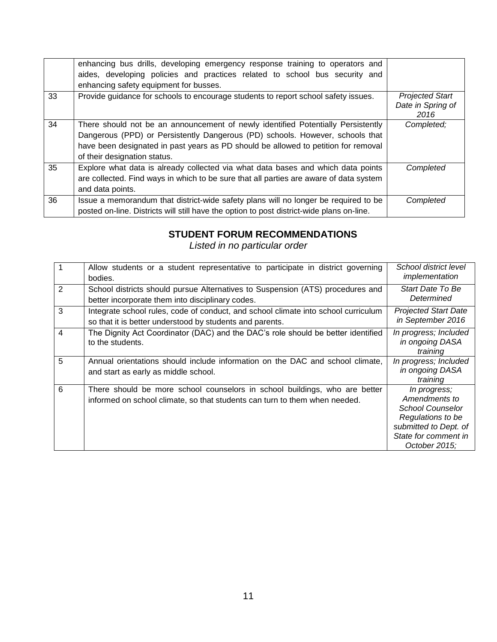|    | enhancing bus drills, developing emergency response training to operators and<br>aides, developing policies and practices related to school bus security and<br>enhancing safety equipment for busses.                                                                                  |                                                     |
|----|-----------------------------------------------------------------------------------------------------------------------------------------------------------------------------------------------------------------------------------------------------------------------------------------|-----------------------------------------------------|
| 33 | Provide quidance for schools to encourage students to report school safety issues.                                                                                                                                                                                                      | <b>Projected Start</b><br>Date in Spring of<br>2016 |
| 34 | There should not be an announcement of newly identified Potentially Persistently<br>Dangerous (PPD) or Persistently Dangerous (PD) schools. However, schools that<br>have been designated in past years as PD should be allowed to petition for removal<br>of their designation status. | Completed;                                          |
| 35 | Explore what data is already collected via what data bases and which data points<br>are collected. Find ways in which to be sure that all parties are aware of data system<br>and data points.                                                                                          | Completed                                           |
| 36 | Issue a memorandum that district-wide safety plans will no longer be required to be<br>posted on-line. Districts will still have the option to post district-wide plans on-line.                                                                                                        | Completed                                           |

# **STUDENT FORUM RECOMMENDATIONS**

*Listed in no particular order*

| $\overline{1}$ | Allow students or a student representative to participate in district governing<br>bodies.                                                               | School district level<br>implementation                                                                                                         |
|----------------|----------------------------------------------------------------------------------------------------------------------------------------------------------|-------------------------------------------------------------------------------------------------------------------------------------------------|
| 2              | School districts should pursue Alternatives to Suspension (ATS) procedures and<br>better incorporate them into disciplinary codes.                       | Start Date To Be<br>Determined                                                                                                                  |
| 3              | Integrate school rules, code of conduct, and school climate into school curriculum<br>so that it is better understood by students and parents.           | <b>Projected Start Date</b><br>in September 2016                                                                                                |
| $\overline{4}$ | The Dignity Act Coordinator (DAC) and the DAC's role should be better identified<br>to the students.                                                     | In progress; Included<br>in ongoing DASA<br>training                                                                                            |
| 5              | Annual orientations should include information on the DAC and school climate,<br>and start as early as middle school.                                    | In progress; Included<br>in ongoing DASA<br>training                                                                                            |
| 6              | There should be more school counselors in school buildings, who are better<br>informed on school climate, so that students can turn to them when needed. | In progress;<br>Amendments to<br><b>School Counselor</b><br>Regulations to be<br>submitted to Dept. of<br>State for comment in<br>October 2015; |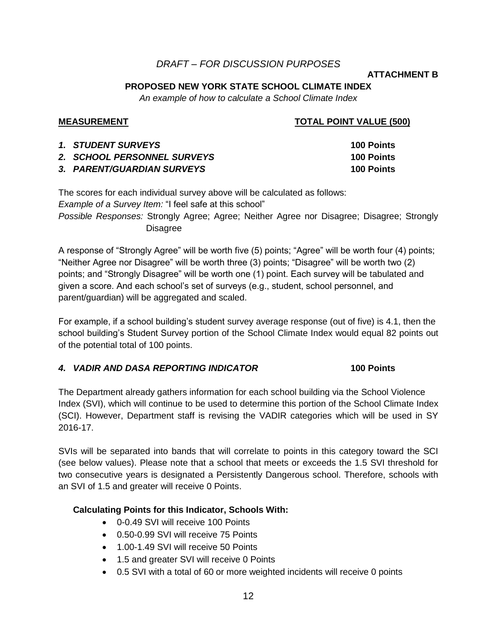# *DRAFT – FOR DISCUSSION PURPOSES*

### **ATTACHMENT B**

## **PROPOSED NEW YORK STATE SCHOOL CLIMATE INDEX**

*An example of how to calculate a School Climate Index*

## **MEASUREMENT TOTAL POINT VALUE (500)**

| <i>1. STUDENT SURVEYS</i>   | <b>100 Points</b> |
|-----------------------------|-------------------|
| 2. SCHOOL PERSONNEL SURVEYS | <b>100 Points</b> |
| 3. PARENT/GUARDIAN SURVEYS  | <b>100 Points</b> |

The scores for each individual survey above will be calculated as follows:

*Example of a Survey Item:* "I feel safe at this school"

*Possible Responses:* Strongly Agree; Agree; Neither Agree nor Disagree; Disagree; Strongly **Disagree** 

A response of "Strongly Agree" will be worth five (5) points; "Agree" will be worth four (4) points; "Neither Agree nor Disagree" will be worth three (3) points; "Disagree" will be worth two (2) points; and "Strongly Disagree" will be worth one (1) point. Each survey will be tabulated and given a score. And each school's set of surveys (e.g., student, school personnel, and parent/guardian) will be aggregated and scaled.

For example, if a school building's student survey average response (out of five) is 4.1, then the school building's Student Survey portion of the School Climate Index would equal 82 points out of the potential total of 100 points.

# *4. VADIR AND DASA REPORTING INDICATOR* **100 Points**

The Department already gathers information for each school building via the School Violence Index (SVI), which will continue to be used to determine this portion of the School Climate Index (SCI). However, Department staff is revising the VADIR categories which will be used in SY 2016-17.

SVIs will be separated into bands that will correlate to points in this category toward the SCI (see below values). Please note that a school that meets or exceeds the 1.5 SVI threshold for two consecutive years is designated a Persistently Dangerous school. Therefore, schools with an SVI of 1.5 and greater will receive 0 Points.

## **Calculating Points for this Indicator, Schools With:**

- 0-0.49 SVI will receive 100 Points
- 0.50-0.99 SVI will receive 75 Points
- 1.00-1.49 SVI will receive 50 Points
- 1.5 and greater SVI will receive 0 Points
- 0.5 SVI with a total of 60 or more weighted incidents will receive 0 points